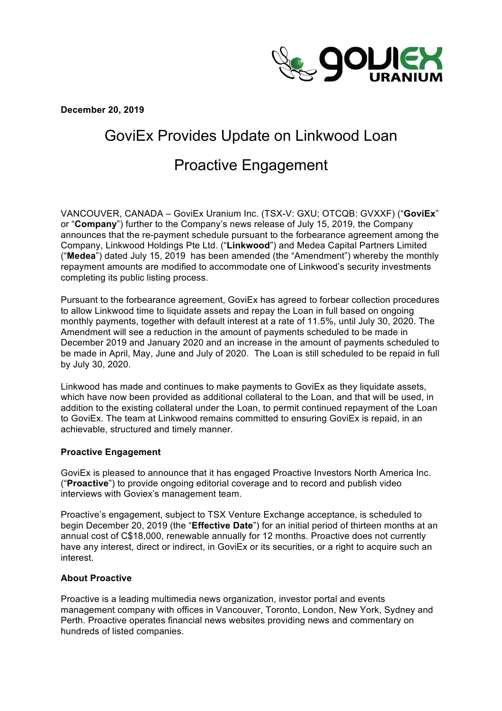

**December 20, 2019**

# GoviEx Provides Update on Linkwood Loan

# Proactive Engagement

VANCOUVER, CANADA – GoviEx Uranium Inc. (TSX-V: GXU; OTCQB: GVXXF) ("**GoviEx**" or "**Company**") further to the Company's news release of July 15, 2019, the Company announces that the re-payment schedule pursuant to the forbearance agreement among the Company, Linkwood Holdings Pte Ltd. ("**Linkwood**") and Medea Capital Partners Limited ("**Medea**") dated July 15, 2019 has been amended (the "Amendment") whereby the monthly repayment amounts are modified to accommodate one of Linkwood's security investments completing its public listing process.

Pursuant to the forbearance agreement, GoviEx has agreed to forbear collection procedures to allow Linkwood time to liquidate assets and repay the Loan in full based on ongoing monthly payments, together with default interest at a rate of 11.5%, until July 30, 2020. The Amendment will see a reduction in the amount of payments scheduled to be made in December 2019 and January 2020 and an increase in the amount of payments scheduled to be made in April, May, June and July of 2020. The Loan is still scheduled to be repaid in full by July 30, 2020.

Linkwood has made and continues to make payments to GoviEx as they liquidate assets, which have now been provided as additional collateral to the Loan, and that will be used, in addition to the existing collateral under the Loan, to permit continued repayment of the Loan to GoviEx. The team at Linkwood remains committed to ensuring GoviEx is repaid, in an achievable, structured and timely manner.

# **Proactive Engagement**

GoviEx is pleased to announce that it has engaged Proactive Investors North America Inc. ("**Proactive**") to provide ongoing editorial coverage and to record and publish video interviews with Goviex's management team.

Proactive's engagement, subject to TSX Venture Exchange acceptance, is scheduled to begin December 20, 2019 (the "**Effective Date**") for an initial period of thirteen months at an annual cost of C\$18,000, renewable annually for 12 months. Proactive does not currently have any interest, direct or indirect, in GoviEx or its securities, or a right to acquire such an interest.

# **About Proactive**

Proactive is a leading multimedia news organization, investor portal and events management company with offices in Vancouver, Toronto, London, New York, Sydney and Perth. Proactive operates financial news websites providing news and commentary on hundreds of listed companies.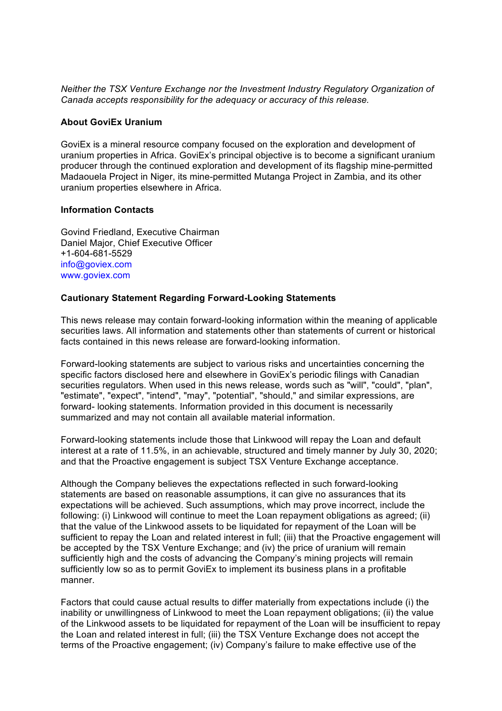*Neither the TSX Venture Exchange nor the Investment Industry Regulatory Organization of Canada accepts responsibility for the adequacy or accuracy of this release.* 

#### **About GoviEx Uranium**

GoviEx is a mineral resource company focused on the exploration and development of uranium properties in Africa. GoviEx's principal objective is to become a significant uranium producer through the continued exploration and development of its flagship mine-permitted Madaouela Project in Niger, its mine-permitted Mutanga Project in Zambia, and its other uranium properties elsewhere in Africa.

### **Information Contacts**

Govind Friedland, Executive Chairman Daniel Major, Chief Executive Officer +1-604-681-5529 info@goviex.com www.goviex.com

### **Cautionary Statement Regarding Forward-Looking Statements**

This news release may contain forward-looking information within the meaning of applicable securities laws. All information and statements other than statements of current or historical facts contained in this news release are forward-looking information.

Forward-looking statements are subject to various risks and uncertainties concerning the specific factors disclosed here and elsewhere in GoviEx's periodic filings with Canadian securities regulators. When used in this news release, words such as "will", "could", "plan", "estimate", "expect", "intend", "may", "potential", "should," and similar expressions, are forward- looking statements. Information provided in this document is necessarily summarized and may not contain all available material information.

Forward-looking statements include those that Linkwood will repay the Loan and default interest at a rate of 11.5%, in an achievable, structured and timely manner by July 30, 2020; and that the Proactive engagement is subject TSX Venture Exchange acceptance.

Although the Company believes the expectations reflected in such forward-looking statements are based on reasonable assumptions, it can give no assurances that its expectations will be achieved. Such assumptions, which may prove incorrect, include the following: (i) Linkwood will continue to meet the Loan repayment obligations as agreed; (ii) that the value of the Linkwood assets to be liquidated for repayment of the Loan will be sufficient to repay the Loan and related interest in full; (iii) that the Proactive engagement will be accepted by the TSX Venture Exchange; and (iv) the price of uranium will remain sufficiently high and the costs of advancing the Company's mining projects will remain sufficiently low so as to permit GoviEx to implement its business plans in a profitable manner.

Factors that could cause actual results to differ materially from expectations include (i) the inability or unwillingness of Linkwood to meet the Loan repayment obligations; (ii) the value of the Linkwood assets to be liquidated for repayment of the Loan will be insufficient to repay the Loan and related interest in full; (iii) the TSX Venture Exchange does not accept the terms of the Proactive engagement; (iv) Company's failure to make effective use of the